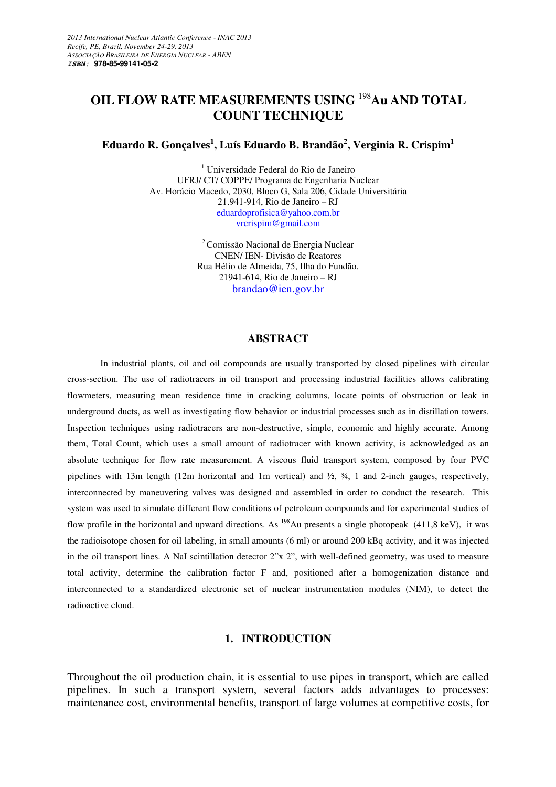# **OIL FLOW RATE MEASUREMENTS USING** <sup>198</sup>**Au AND TOTAL COUNT TECHNIQUE**

**Eduardo R. Gonçalves<sup>1</sup> , Luís Eduardo B. Brandão<sup>2</sup> , Verginia R. Crispim<sup>1</sup>**

1 Universidade Federal do Rio de Janeiro UFRJ/ CT/ COPPE/ Programa de Engenharia Nuclear Av. Horácio Macedo, 2030, Bloco G, Sala 206, Cidade Universitária 21.941-914, Rio de Janeiro – RJ eduardoprofisica@yahoo.com.br vrcrispim@gmail.com

> <sup>2</sup> Comissão Nacional de Energia Nuclear CNEN/ IEN- Divisão de Reatores Rua Hélio de Almeida, 75, Ilha do Fundão. 21941-614, Rio de Janeiro – RJ brandao@ien.gov.br

#### **ABSTRACT**

In industrial plants, oil and oil compounds are usually transported by closed pipelines with circular cross-section. The use of radiotracers in oil transport and processing industrial facilities allows calibrating flowmeters, measuring mean residence time in cracking columns, locate points of obstruction or leak in underground ducts, as well as investigating flow behavior or industrial processes such as in distillation towers. Inspection techniques using radiotracers are non-destructive, simple, economic and highly accurate. Among them, Total Count, which uses a small amount of radiotracer with known activity, is acknowledged as an absolute technique for flow rate measurement. A viscous fluid transport system, composed by four PVC pipelines with 13m length (12m horizontal and 1m vertical) and ½, ¾, 1 and 2-inch gauges, respectively, interconnected by maneuvering valves was designed and assembled in order to conduct the research. This system was used to simulate different flow conditions of petroleum compounds and for experimental studies of flow profile in the horizontal and upward directions. As <sup>198</sup>Au presents a single photopeak (411,8 keV), it was the radioisotope chosen for oil labeling, in small amounts (6 ml) or around 200 kBq activity, and it was injected in the oil transport lines. A NaI scintillation detector 2"x 2", with well-defined geometry, was used to measure total activity, determine the calibration factor F and, positioned after a homogenization distance and interconnected to a standardized electronic set of nuclear instrumentation modules (NIM), to detect the radioactive cloud.

#### **1. INTRODUCTION**

Throughout the oil production chain, it is essential to use pipes in transport, which are called pipelines. In such a transport system, several factors adds advantages to processes: maintenance cost, environmental benefits, transport of large volumes at competitive costs, for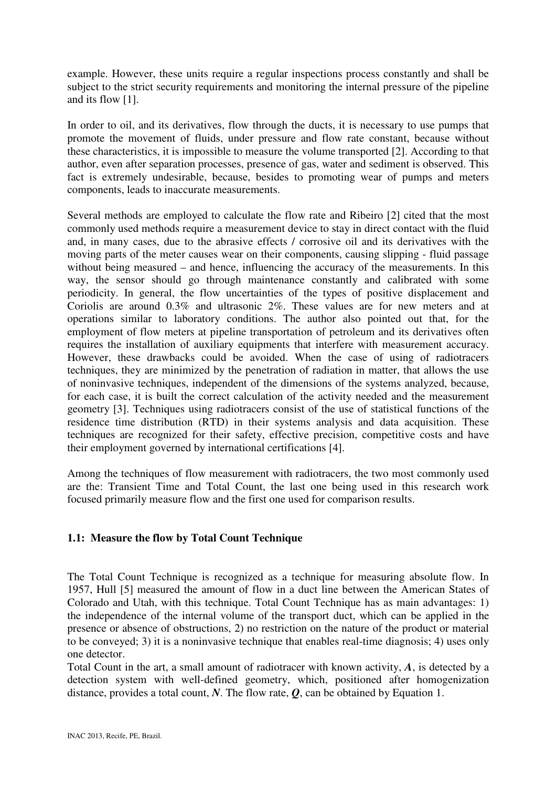example. However, these units require a regular inspections process constantly and shall be subject to the strict security requirements and monitoring the internal pressure of the pipeline and its flow [1].

In order to oil, and its derivatives, flow through the ducts, it is necessary to use pumps that promote the movement of fluids, under pressure and flow rate constant, because without these characteristics, it is impossible to measure the volume transported [2]. According to that author, even after separation processes, presence of gas, water and sediment is observed. This fact is extremely undesirable, because, besides to promoting wear of pumps and meters components, leads to inaccurate measurements.

Several methods are employed to calculate the flow rate and Ribeiro [2] cited that the most commonly used methods require a measurement device to stay in direct contact with the fluid and, in many cases, due to the abrasive effects / corrosive oil and its derivatives with the moving parts of the meter causes wear on their components, causing slipping - fluid passage without being measured – and hence, influencing the accuracy of the measurements. In this way, the sensor should go through maintenance constantly and calibrated with some periodicity. In general, the flow uncertainties of the types of positive displacement and Coriolis are around 0.3% and ultrasonic 2%. These values are for new meters and at operations similar to laboratory conditions. The author also pointed out that, for the employment of flow meters at pipeline transportation of petroleum and its derivatives often requires the installation of auxiliary equipments that interfere with measurement accuracy. However, these drawbacks could be avoided. When the case of using of radiotracers techniques, they are minimized by the penetration of radiation in matter, that allows the use of noninvasive techniques, independent of the dimensions of the systems analyzed, because, for each case, it is built the correct calculation of the activity needed and the measurement geometry [3]. Techniques using radiotracers consist of the use of statistical functions of the residence time distribution (RTD) in their systems analysis and data acquisition. These techniques are recognized for their safety, effective precision, competitive costs and have their employment governed by international certifications [4].

Among the techniques of flow measurement with radiotracers, the two most commonly used are the: Transient Time and Total Count, the last one being used in this research work focused primarily measure flow and the first one used for comparison results.

# **1.1: Measure the flow by Total Count Technique**

The Total Count Technique is recognized as a technique for measuring absolute flow. In 1957, Hull [5] measured the amount of flow in a duct line between the American States of Colorado and Utah, with this technique. Total Count Technique has as main advantages: 1) the independence of the internal volume of the transport duct, which can be applied in the presence or absence of obstructions, 2) no restriction on the nature of the product or material to be conveyed; 3) it is a noninvasive technique that enables real-time diagnosis; 4) uses only one detector.

Total Count in the art, a small amount of radiotracer with known activity, *A*, is detected by a detection system with well-defined geometry, which, positioned after homogenization distance, provides a total count, *N*. The flow rate, *Q*, can be obtained by Equation 1.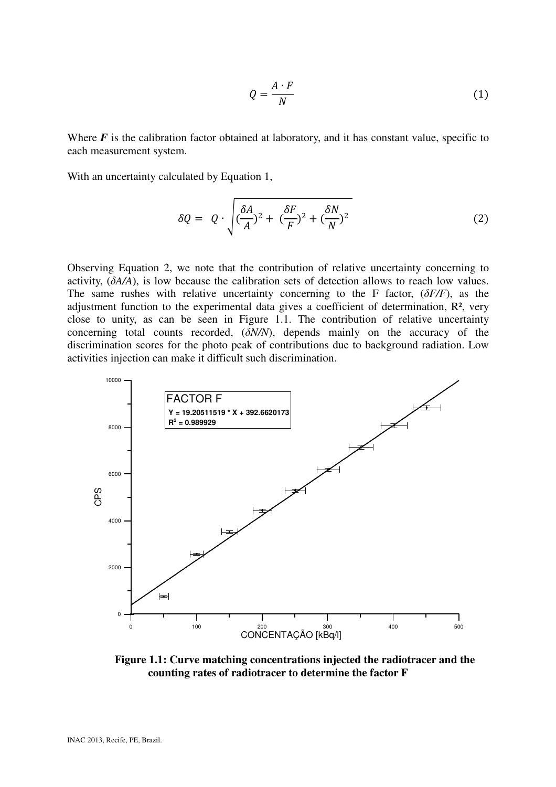$$
Q = \frac{A \cdot F}{N} \tag{1}
$$

Where  $F$  is the calibration factor obtained at laboratory, and it has constant value, specific to each measurement system.

With an uncertainty calculated by Equation 1,

$$
\delta Q = Q \cdot \sqrt{\left(\frac{\delta A}{A}\right)^2 + \left(\frac{\delta F}{F}\right)^2 + \left(\frac{\delta N}{N}\right)^2} \tag{2}
$$

Observing Equation 2, we note that the contribution of relative uncertainty concerning to activity, (δ*A/A*), is low because the calibration sets of detection allows to reach low values. The same rushes with relative uncertainty concerning to the F factor, (δ*F/F*), as the adjustment function to the experimental data gives a coefficient of determination, R², very close to unity, as can be seen in Figure 1.1. The contribution of relative uncertainty concerning total counts recorded, (δ*N/N*), depends mainly on the accuracy of the discrimination scores for the photo peak of contributions due to background radiation. Low activities injection can make it difficult such discrimination.



**Figure 1.1: Curve matching concentrations injected the radiotracer and the counting rates of radiotracer to determine the factor F**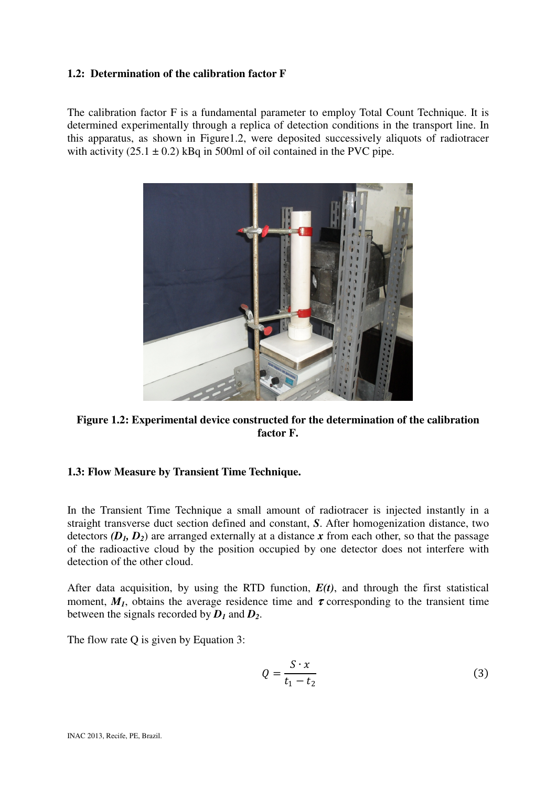# **1.2: Determination of the calibration factor F**

The calibration factor F is a fundamental parameter to employ Total Count Technique. It is determined experimentally through a replica of detection conditions in the transport line. In this apparatus, as shown in Figure1.2, were deposited successively aliquots of radiotracer with activity  $(25.1 \pm 0.2)$  kBq in 500ml of oil contained in the PVC pipe.



**Figure 1.2: Experimental device constructed for the determination of the calibration factor F.** 

# **1.3: Flow Measure by Transient Time Technique.**

In the Transient Time Technique a small amount of radiotracer is injected instantly in a straight transverse duct section defined and constant, *S*. After homogenization distance, two detectors  $(D_1, D_2)$  are arranged externally at a distance x from each other, so that the passage of the radioactive cloud by the position occupied by one detector does not interfere with detection of the other cloud.

After data acquisition, by using the RTD function, *E(t)*, and through the first statistical moment,  $M<sub>I</sub>$ , obtains the average residence time and  $\tau$  corresponding to the transient time between the signals recorded by  $D_1$  and  $D_2$ .

The flow rate Q is given by Equation 3:

$$
Q = \frac{S \cdot x}{t_1 - t_2} \tag{3}
$$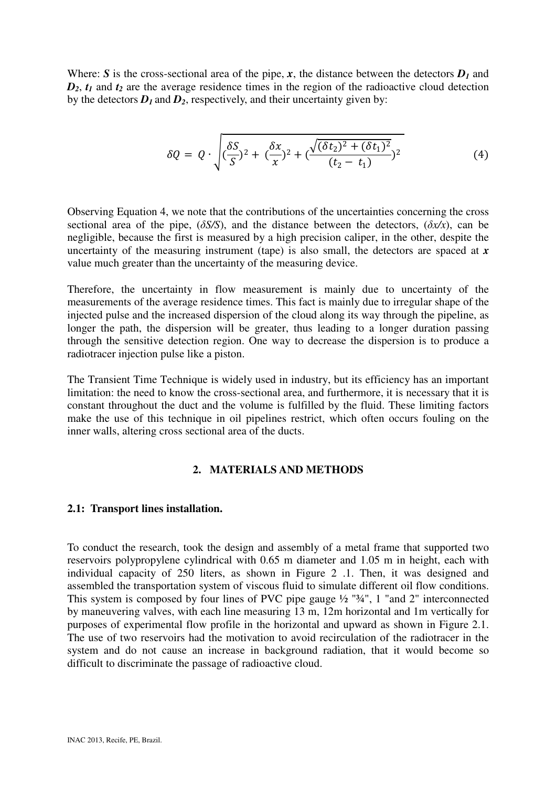Where: *S* is the cross-sectional area of the pipe, *x*, the distance between the detectors  $D_1$  and  $D_2$ ,  $t_1$  and  $t_2$  are the average residence times in the region of the radioactive cloud detection by the detectors  $D_1$  and  $D_2$ , respectively, and their uncertainty given by:

$$
\delta Q = Q \cdot \sqrt{(\frac{\delta S}{S})^2 + (\frac{\delta x}{x})^2 + (\frac{\sqrt{(\delta t_2)^2 + (\delta t_1)^2}}{(t_2 - t_1)})^2}
$$
(4)

Observing Equation 4, we note that the contributions of the uncertainties concerning the cross sectional area of the pipe,  $(\delta S/S)$ , and the distance between the detectors,  $(\delta x/x)$ , can be negligible, because the first is measured by a high precision caliper, in the other, despite the uncertainty of the measuring instrument (tape) is also small, the detectors are spaced at *x* value much greater than the uncertainty of the measuring device.

Therefore, the uncertainty in flow measurement is mainly due to uncertainty of the measurements of the average residence times. This fact is mainly due to irregular shape of the injected pulse and the increased dispersion of the cloud along its way through the pipeline, as longer the path, the dispersion will be greater, thus leading to a longer duration passing through the sensitive detection region. One way to decrease the dispersion is to produce a radiotracer injection pulse like a piston.

The Transient Time Technique is widely used in industry, but its efficiency has an important limitation: the need to know the cross-sectional area, and furthermore, it is necessary that it is constant throughout the duct and the volume is fulfilled by the fluid. These limiting factors make the use of this technique in oil pipelines restrict, which often occurs fouling on the inner walls, altering cross sectional area of the ducts.

#### **2. MATERIALS AND METHODS**

#### **2.1: Transport lines installation.**

To conduct the research, took the design and assembly of a metal frame that supported two reservoirs polypropylene cylindrical with 0.65 m diameter and 1.05 m in height, each with individual capacity of 250 liters, as shown in Figure 2 .1. Then, it was designed and assembled the transportation system of viscous fluid to simulate different oil flow conditions. This system is composed by four lines of PVC pipe gauge ½ "¾", 1 "and 2" interconnected by maneuvering valves, with each line measuring 13 m, 12m horizontal and 1m vertically for purposes of experimental flow profile in the horizontal and upward as shown in Figure 2.1. The use of two reservoirs had the motivation to avoid recirculation of the radiotracer in the system and do not cause an increase in background radiation, that it would become so difficult to discriminate the passage of radioactive cloud.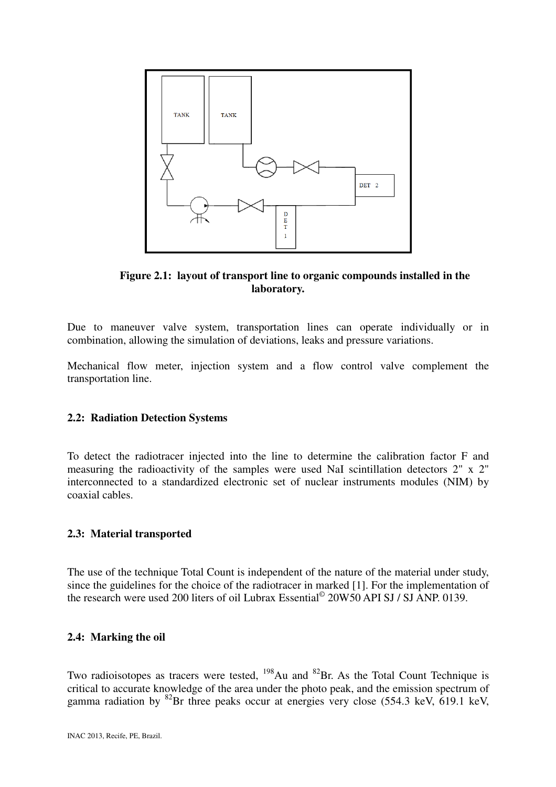

**Figure 2.1: layout of transport line to organic compounds installed in the laboratory.** 

Due to maneuver valve system, transportation lines can operate individually or in combination, allowing the simulation of deviations, leaks and pressure variations.

Mechanical flow meter, injection system and a flow control valve complement the transportation line.

#### **2.2: Radiation Detection Systems**

To detect the radiotracer injected into the line to determine the calibration factor F and measuring the radioactivity of the samples were used NaI scintillation detectors 2" x 2" interconnected to a standardized electronic set of nuclear instruments modules (NIM) by coaxial cables.

#### **2.3: Material transported**

The use of the technique Total Count is independent of the nature of the material under study, since the guidelines for the choice of the radiotracer in marked [1]. For the implementation of the research were used 200 liters of oil Lubrax Essential<sup>©</sup> 20W50 API SJ / SJ ANP. 0139.

#### **2.4: Marking the oil**

Two radioisotopes as tracers were tested,  $198$ Au and  $82$ Br. As the Total Count Technique is critical to accurate knowledge of the area under the photo peak, and the emission spectrum of gamma radiation by <sup>82</sup>Br three peaks occur at energies very close (554.3 keV, 619.1 keV,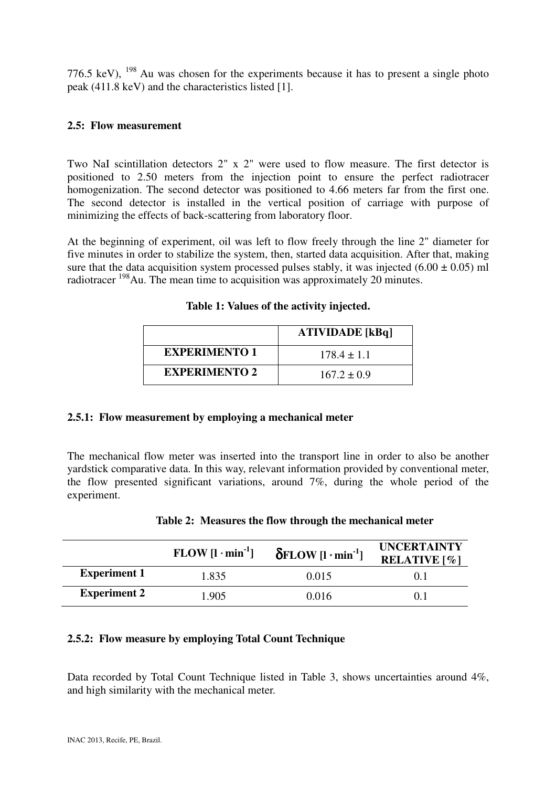776.5 keV),  $^{198}$  Au was chosen for the experiments because it has to present a single photo peak (411.8 keV) and the characteristics listed [1].

## **2.5: Flow measurement**

Two NaI scintillation detectors 2" x 2" were used to flow measure. The first detector is positioned to 2.50 meters from the injection point to ensure the perfect radiotracer homogenization. The second detector was positioned to 4.66 meters far from the first one. The second detector is installed in the vertical position of carriage with purpose of minimizing the effects of back-scattering from laboratory floor.

At the beginning of experiment, oil was left to flow freely through the line 2" diameter for five minutes in order to stabilize the system, then, started data acquisition. After that, making sure that the data acquisition system processed pulses stably, it was injected  $(6.00 \pm 0.05)$  ml radiotracer  $198$ Au. The mean time to acquisition was approximately 20 minutes.

|                      | <b>ATIVIDADE</b> [kBq] |
|----------------------|------------------------|
| <b>EXPERIMENTO 1</b> | $178.4 \pm 1.1$        |
| <b>EXPERIMENTO 2</b> | $167.2 \pm 0.9$        |

### **Table 1: Values of the activity injected.**

### **2.5.1: Flow measurement by employing a mechanical meter**

The mechanical flow meter was inserted into the transport line in order to also be another yardstick comparative data. In this way, relevant information provided by conventional meter, the flow presented significant variations, around 7%, during the whole period of the experiment.

|                     | $FLOW [l \cdot min^{-1}]$ | $\delta$ FLOW [l · min <sup>-1</sup> ] | <b>UNCERTAINTY</b><br><b>RELATIVE</b> [%] |
|---------------------|---------------------------|----------------------------------------|-------------------------------------------|
| <b>Experiment 1</b> | 1.835                     | 0.015                                  |                                           |
| <b>Experiment 2</b> | 1.905                     | 0.016                                  |                                           |

|  |  |  | Table 2: Measures the flow through the mechanical meter |  |
|--|--|--|---------------------------------------------------------|--|

# **2.5.2: Flow measure by employing Total Count Technique**

Data recorded by Total Count Technique listed in Table 3, shows uncertainties around 4%, and high similarity with the mechanical meter.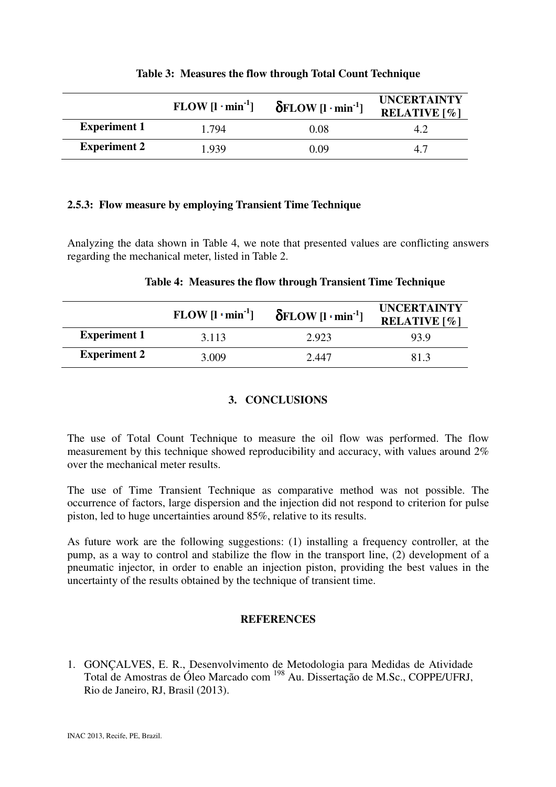|                     | $FLOW [l \cdot min^{-1}]$ | $\delta$ FLOW [l·min <sup>-1</sup> ] | <b>UNCERTAINTY</b><br><b>RELATIVE</b> [%] |  |
|---------------------|---------------------------|--------------------------------------|-------------------------------------------|--|
| <b>Experiment 1</b> | 1.794                     | 0.08                                 | 4.2                                       |  |
| <b>Experiment 2</b> | 1.939                     | 0.09                                 | 4.7                                       |  |

### **Table 3: Measures the flow through Total Count Technique**

# **2.5.3: Flow measure by employing Transient Time Technique**

Analyzing the data shown in Table 4, we note that presented values are conflicting answers regarding the mechanical meter, listed in Table 2.

## **Table 4: Measures the flow through Transient Time Technique**

|                     | $FLOW [l \cdot min^{-1}]$ | $\delta$ FLOW [l · min <sup>-1</sup> ] | <b>UNCERTAINTY</b><br><b>RELATIVE</b> $\lceil \% \rceil$ |
|---------------------|---------------------------|----------------------------------------|----------------------------------------------------------|
| <b>Experiment 1</b> | 3.113                     | 2.923                                  | 93.9                                                     |
| <b>Experiment 2</b> | 3.009                     | 2.447                                  | 81.3                                                     |

# **3. CONCLUSIONS**

The use of Total Count Technique to measure the oil flow was performed. The flow measurement by this technique showed reproducibility and accuracy, with values around 2% over the mechanical meter results.

The use of Time Transient Technique as comparative method was not possible. The occurrence of factors, large dispersion and the injection did not respond to criterion for pulse piston, led to huge uncertainties around 85%, relative to its results.

As future work are the following suggestions: (1) installing a frequency controller, at the pump, as a way to control and stabilize the flow in the transport line, (2) development of a pneumatic injector, in order to enable an injection piston, providing the best values in the uncertainty of the results obtained by the technique of transient time.

### **REFERENCES**

1. GONÇALVES, E. R., Desenvolvimento de Metodologia para Medidas de Atividade Total de Amostras de Óleo Marcado com <sup>198</sup> Au. Dissertação de M.Sc., COPPE/UFRJ, Rio de Janeiro, RJ, Brasil (2013).